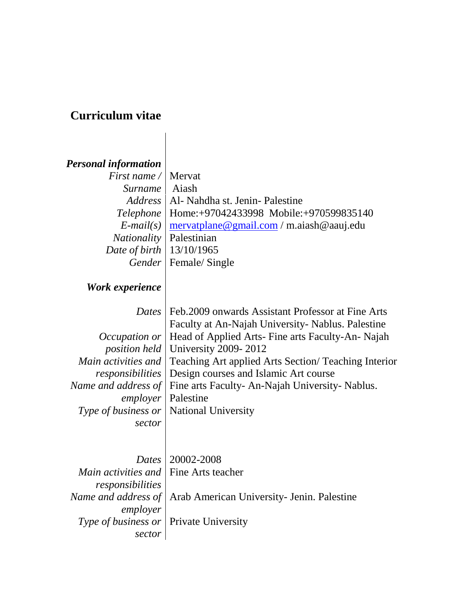## **Curriculum vitae**

## *Personal information*

| <i>First name</i> / Mervat       |                                                                             |
|----------------------------------|-----------------------------------------------------------------------------|
| Surname   Aiash                  |                                                                             |
|                                  | Address   Al- Nahdha st. Jenin-Palestine                                    |
|                                  | Telephone   Home: +97042433998 Mobile: +970599835140                        |
|                                  | $E$ -mail(s) $\frac{mervatplane \omega gmail.com}{m.aiash \omega aauj.edu}$ |
| <i>Nationality</i>   Palestinian |                                                                             |
| Date of birth   13/10/1965       |                                                                             |
|                                  | Gender   Female/ Single                                                     |

## *Work experience*

|                      | Dates   Feb.2009 onwards Assistant Professor at Fine Arts                  |
|----------------------|----------------------------------------------------------------------------|
|                      | Faculty at An-Najah University- Nablus. Palestine                          |
|                      | <i>Occupation or</i>   Head of Applied Arts- Fine arts Faculty-An- Najah   |
|                      | <i>position held</i> University 2009-2012                                  |
|                      | Main activities and   Teaching Art applied Arts Section/ Teaching Interior |
|                      | <i>responsibilities</i>   Design courses and Islamic Art course            |
|                      | Name and address of   Fine arts Faculty- An-Najah University- Nablus.      |
| employer   Palestine |                                                                            |
|                      | <i>Type of business or</i>   National University                           |
| sector               |                                                                            |
|                      |                                                                            |

|                                            | Dates   20002-2008                                                      |
|--------------------------------------------|-------------------------------------------------------------------------|
| Main activities and Fine Arts teacher      |                                                                         |
| responsibilities                           |                                                                         |
|                                            | <i>Name and address of</i>   Arab American University- Jenin. Palestine |
| employer                                   |                                                                         |
| Type of business or $ $ Private University |                                                                         |
| sector                                     |                                                                         |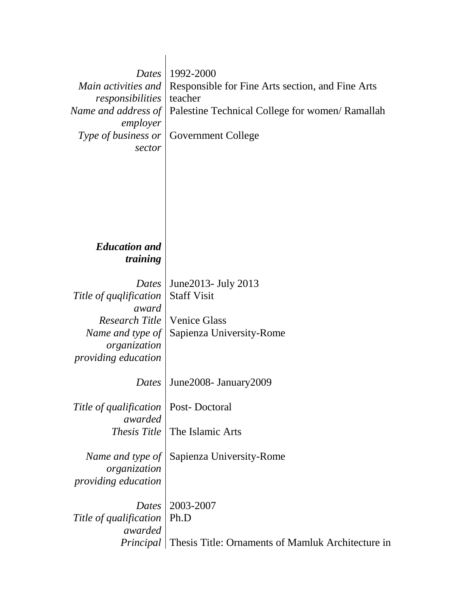| Dates<br>Main activities and<br>responsibilities<br>Name and address of<br>employer<br>Type of business or<br>sector         | 1992-2000<br>Responsible for Fine Arts section, and Fine Arts<br>teacher<br>Palestine Technical College for women/ Ramallah<br><b>Government College</b> |
|------------------------------------------------------------------------------------------------------------------------------|----------------------------------------------------------------------------------------------------------------------------------------------------------|
| <b>Education and</b><br>training                                                                                             |                                                                                                                                                          |
| Dates<br>Title of qualification<br>award<br>Research Title<br>Name and type of<br>organization<br><i>providing education</i> | June 2013 - July 2013<br><b>Staff Visit</b><br><b>Venice Glass</b><br>Sapienza University-Rome                                                           |
| Dates                                                                                                                        | June 2008 - January 2009                                                                                                                                 |
| Title of qualification<br>awarded                                                                                            | Post-Doctoral<br><i>Thesis Title</i>   The Islamic Arts                                                                                                  |
| Name and type of<br>organization<br>providing education                                                                      | Sapienza University-Rome                                                                                                                                 |
| Dates<br>Title of qualification<br>awarded                                                                                   | 2003-2007<br>Ph.D<br><i>Principal</i>   Thesis Title: Ornaments of Mamluk Architecture in                                                                |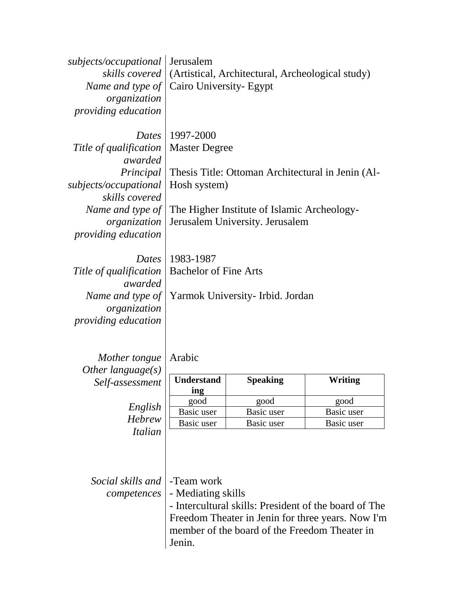| subjects/occupational<br>organization<br><i>providing education</i> | Jerusalem<br><i>skills covered</i>   (Artistical, Architectural, Archeological study)<br><i>Name and type of</i>   Cairo University- Egypt |
|---------------------------------------------------------------------|--------------------------------------------------------------------------------------------------------------------------------------------|
|                                                                     | <i>Dates</i>   1997-2000                                                                                                                   |
| Title of qualification                                              | <b>Master Degree</b>                                                                                                                       |
| awarded                                                             |                                                                                                                                            |
| Principal                                                           | Thesis Title: Ottoman Architectural in Jenin (Al-                                                                                          |
| subjects/occupational                                               | Hosh system)                                                                                                                               |
| skills covered                                                      |                                                                                                                                            |
| Name and type of                                                    | The Higher Institute of Islamic Archeology-                                                                                                |
| organization                                                        | Jerusalem University. Jerusalem                                                                                                            |
| <i>providing education</i>                                          |                                                                                                                                            |
|                                                                     |                                                                                                                                            |
| Dates                                                               | 1983-1987                                                                                                                                  |

*Title of qualification*  Bachelor of Fine Arts *awarded organization providing education*

*Name and type of*  Yarmok University- Irbid. Jordan

*Mother tongue* Arabic *Other language(s) Self-assessment*

> *English Hebrew Italian*

| <b>Understand</b><br>ing | <b>Speaking</b> | Writing    |
|--------------------------|-----------------|------------|
| good                     | good            | good       |
| Basic user               | Basic user      | Basic user |
| Basic user               | Basic user      | Basic user |

*Social skills and*  -Team work *competences*

- Mediating skills

- Intercultural skills: President of the board of The Freedom Theater in Jenin for three years. Now I'm member of the board of the Freedom Theater in Jenin.